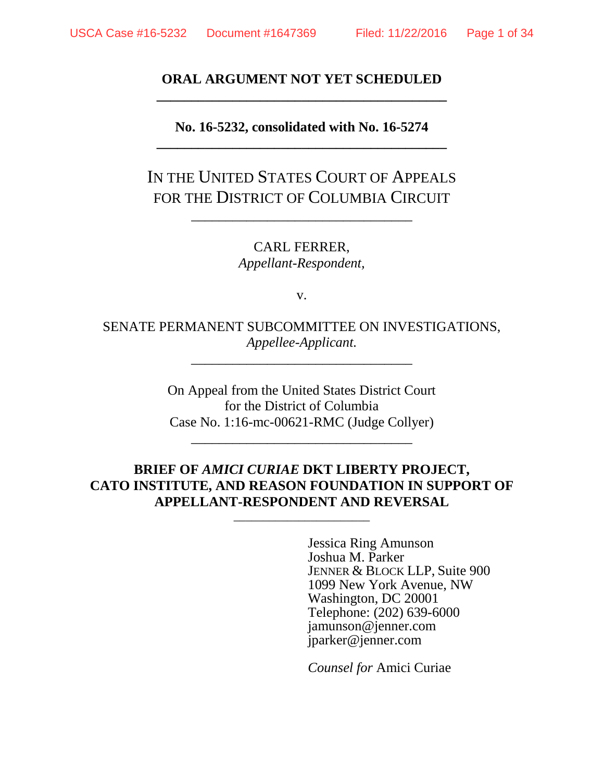# **ORAL ARGUMENT NOT YET SCHEDULED \_\_\_\_\_\_\_\_\_\_\_\_\_\_\_\_\_\_\_\_\_\_\_\_\_\_\_\_\_\_\_\_\_\_\_\_\_\_\_\_\_\_**

## **No. 16-5232, consolidated with No. 16-5274 \_\_\_\_\_\_\_\_\_\_\_\_\_\_\_\_\_\_\_\_\_\_\_\_\_\_\_\_\_\_\_\_\_\_\_\_\_\_\_\_\_\_**

IN THE UNITED STATES COURT OF APPEALS FOR THE DISTRICT OF COLUMBIA CIRCUIT

\_\_\_\_\_\_\_\_\_\_\_\_\_\_\_\_\_\_\_\_\_\_\_\_\_\_\_\_\_\_\_\_

CARL FERRER, *Appellant-Respondent,*

v.

SENATE PERMANENT SUBCOMMITTEE ON INVESTIGATIONS, *Appellee-Applicant.*

*\_\_\_\_\_\_\_\_\_\_\_\_\_\_\_\_\_\_\_\_\_\_\_\_\_\_\_\_\_\_\_\_*

On Appeal from the United States District Court for the District of Columbia Case No. 1:16-mc-00621-RMC (Judge Collyer)

\_\_\_\_\_\_\_\_\_\_\_\_\_\_\_\_\_\_\_\_\_\_\_\_\_\_\_\_\_\_\_\_

# **BRIEF OF** *AMICI CURIAE* **DKT LIBERTY PROJECT, CATO INSTITUTE, AND REASON FOUNDATION IN SUPPORT OF APPELLANT-RESPONDENT AND REVERSAL**

\_\_\_\_\_\_\_\_\_\_\_\_\_\_\_\_\_\_\_\_\_\_\_

Jessica Ring Amunson Joshua M. Parker JENNER & BLOCK LLP, Suite 900 1099 New York Avenue, NW Washington, DC 20001 Telephone: (202) 639-6000 jamunson@jenner.com jparker@jenner.com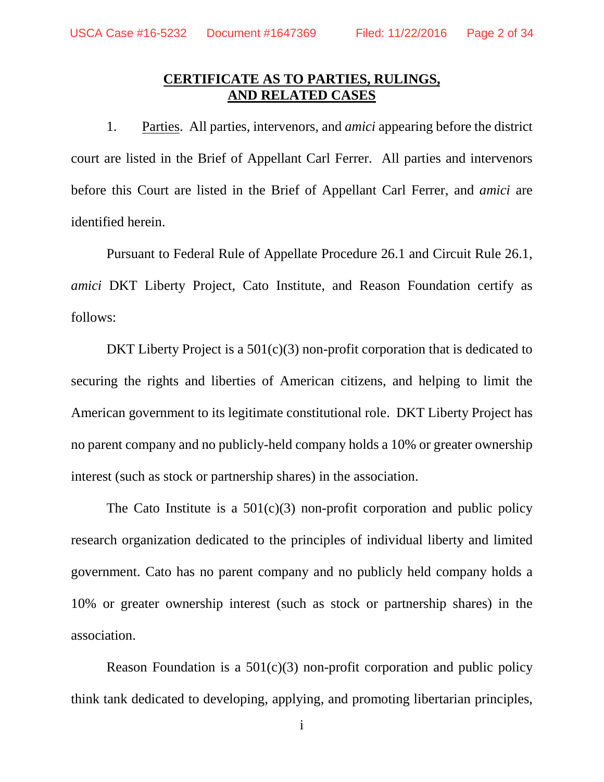# **CERTIFICATE AS TO PARTIES, RULINGS, AND RELATED CASES**

1. Parties. All parties, intervenors, and *amici* appearing before the district court are listed in the Brief of Appellant Carl Ferrer. All parties and intervenors before this Court are listed in the Brief of Appellant Carl Ferrer, and *amici* are identified herein.

Pursuant to Federal Rule of Appellate Procedure 26.1 and Circuit Rule 26.1, *amici* DKT Liberty Project, Cato Institute, and Reason Foundation certify as follows:

DKT Liberty Project is a  $501(c)(3)$  non-profit corporation that is dedicated to securing the rights and liberties of American citizens, and helping to limit the American government to its legitimate constitutional role. DKT Liberty Project has no parent company and no publicly-held company holds a 10% or greater ownership interest (such as stock or partnership shares) in the association.

The Cato Institute is a  $501(c)(3)$  non-profit corporation and public policy research organization dedicated to the principles of individual liberty and limited government. Cato has no parent company and no publicly held company holds a 10% or greater ownership interest (such as stock or partnership shares) in the association.

Reason Foundation is a  $501(c)(3)$  non-profit corporation and public policy think tank dedicated to developing, applying, and promoting libertarian principles,

i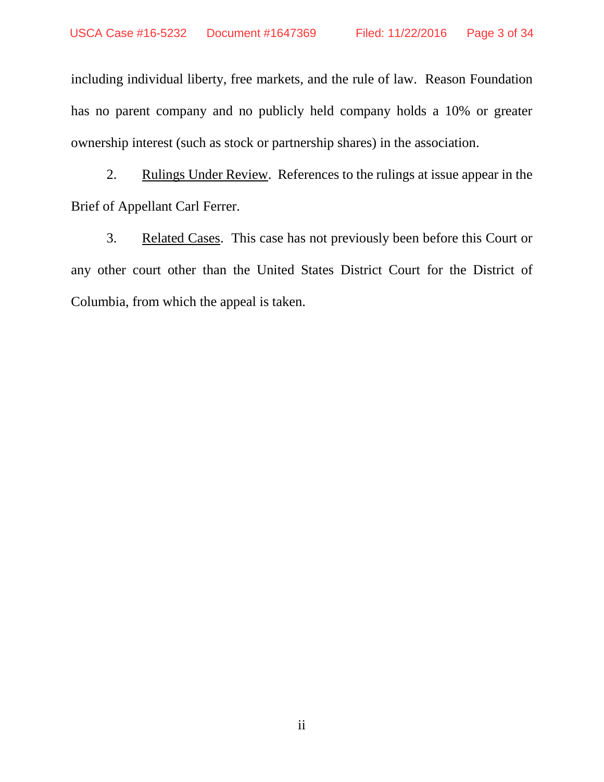including individual liberty, free markets, and the rule of law. Reason Foundation has no parent company and no publicly held company holds a 10% or greater ownership interest (such as stock or partnership shares) in the association.

2. Rulings Under Review. References to the rulings at issue appear in the Brief of Appellant Carl Ferrer.

3. Related Cases. This case has not previously been before this Court or any other court other than the United States District Court for the District of Columbia, from which the appeal is taken.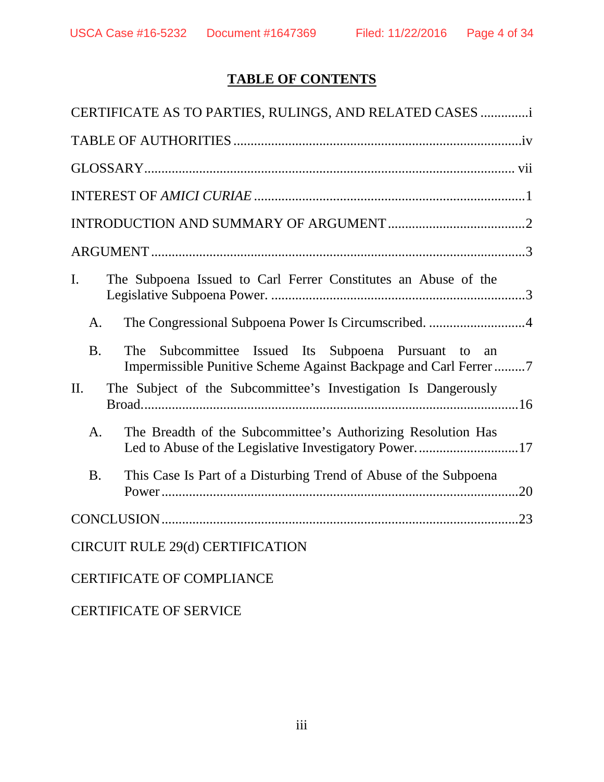# **TABLE OF CONTENTS**

| CERTIFICATE AS TO PARTIES, RULINGS, AND RELATED CASES                                                                                      |
|--------------------------------------------------------------------------------------------------------------------------------------------|
|                                                                                                                                            |
|                                                                                                                                            |
|                                                                                                                                            |
|                                                                                                                                            |
|                                                                                                                                            |
| $\mathbf{I}$ .<br>The Subpoena Issued to Carl Ferrer Constitutes an Abuse of the                                                           |
| The Congressional Subpoena Power Is Circumscribed. 4<br>A.                                                                                 |
| <b>B.</b><br>Subcommittee Issued Its Subpoena Pursuant to<br>The<br>an<br>Impermissible Punitive Scheme Against Backpage and Carl Ferrer 7 |
| The Subject of the Subcommittee's Investigation Is Dangerously<br>II.                                                                      |
| The Breadth of the Subcommittee's Authorizing Resolution Has<br>A.<br>Led to Abuse of the Legislative Investigatory Power17                |
| This Case Is Part of a Disturbing Trend of Abuse of the Subpoena<br><b>B.</b>                                                              |
|                                                                                                                                            |
| <b>CIRCUIT RULE 29(d) CERTIFICATION</b>                                                                                                    |
| <b>CERTIFICATE OF COMPLIANCE</b>                                                                                                           |

CERTIFICATE OF SERVICE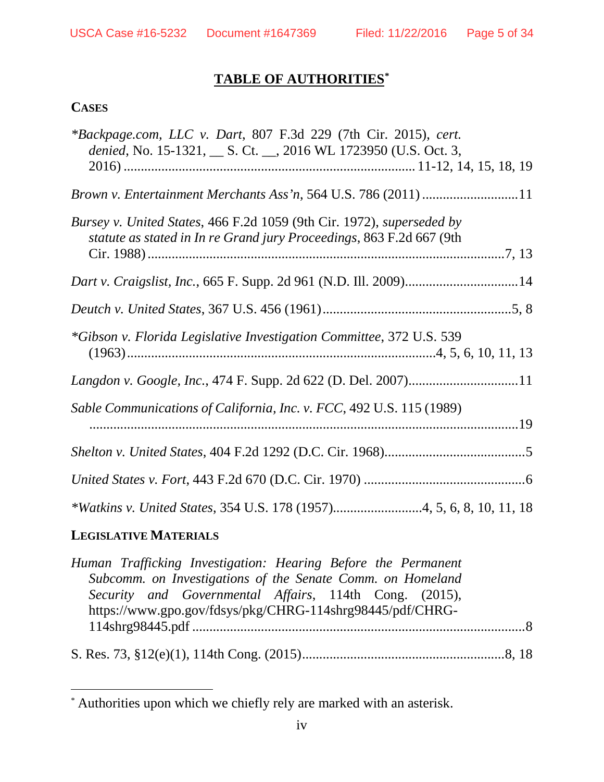# **TABLE OF AUTHORITIES[\\*](#page-4-0)**

## **CASES**

| *Backpage.com, LLC v. Dart, 807 F.3d 229 (7th Cir. 2015), cert.<br>denied, No. 15-1321, __ S. Ct. __, 2016 WL 1723950 (U.S. Oct. 3,           |
|-----------------------------------------------------------------------------------------------------------------------------------------------|
|                                                                                                                                               |
| Bursey v. United States, 466 F.2d 1059 (9th Cir. 1972), superseded by<br>statute as stated in In re Grand jury Proceedings, 863 F.2d 667 (9th |
|                                                                                                                                               |
|                                                                                                                                               |
| *Gibson v. Florida Legislative Investigation Committee, 372 U.S. 539                                                                          |
|                                                                                                                                               |
| Sable Communications of California, Inc. v. FCC, 492 U.S. 115 (1989)                                                                          |
|                                                                                                                                               |
|                                                                                                                                               |
|                                                                                                                                               |

# **LEGISLATIVE MATERIALS**

| Human Trafficking Investigation: Hearing Before the Permanent |  |
|---------------------------------------------------------------|--|
| Subcomm. on Investigations of the Senate Comm. on Homeland    |  |
| Security and Governmental Affairs, 114th Cong. (2015),        |  |
| https://www.gpo.gov/fdsys/pkg/CHRG-114shrg98445/pdf/CHRG-     |  |
|                                                               |  |
|                                                               |  |
|                                                               |  |

<span id="page-4-0"></span> <sup>\*</sup> Authorities upon which we chiefly rely are marked with an asterisk.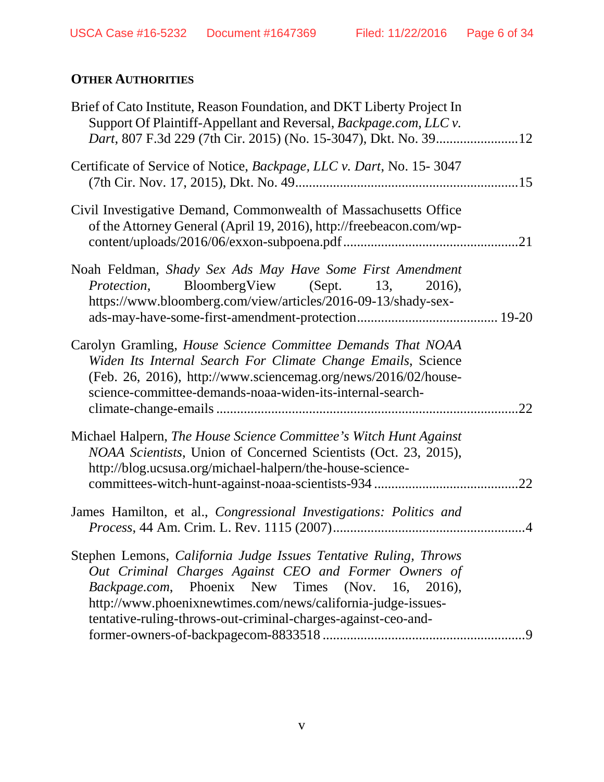# **OTHER AUTHORITIES**

| Brief of Cato Institute, Reason Foundation, and DKT Liberty Project In<br>Support Of Plaintiff-Appellant and Reversal, Backpage.com, LLC v.                                                                                                                                                                    |     |
|----------------------------------------------------------------------------------------------------------------------------------------------------------------------------------------------------------------------------------------------------------------------------------------------------------------|-----|
| Certificate of Service of Notice, Backpage, LLC v. Dart, No. 15-3047                                                                                                                                                                                                                                           |     |
| Civil Investigative Demand, Commonwealth of Massachusetts Office<br>of the Attorney General (April 19, 2016), http://freebeacon.com/wp-                                                                                                                                                                        |     |
| Noah Feldman, Shady Sex Ads May Have Some First Amendment<br><i>Protection</i> , BloombergView (Sept. 13, 2016),<br>https://www.bloomberg.com/view/articles/2016-09-13/shady-sex-                                                                                                                              |     |
| Carolyn Gramling, House Science Committee Demands That NOAA<br>Widen Its Internal Search For Climate Change Emails, Science<br>(Feb. 26, 2016), http://www.sciencemag.org/news/2016/02/house-<br>science-committee-demands-noaa-widen-its-internal-search-                                                     | 22  |
| Michael Halpern, The House Science Committee's Witch Hunt Against<br>NOAA Scientists, Union of Concerned Scientists (Oct. 23, 2015),<br>http://blog.ucsusa.org/michael-halpern/the-house-science-                                                                                                              | 22  |
| James Hamilton, et al., Congressional Investigations: Politics and                                                                                                                                                                                                                                             |     |
| Stephen Lemons, California Judge Issues Tentative Ruling, Throws<br>Out Criminal Charges Against CEO and Former Owners of<br>Backpage.com, Phoenix New Times (Nov. 16, 2016),<br>http://www.phoenixnewtimes.com/news/california-judge-issues-<br>tentative-ruling-throws-out-criminal-charges-against-ceo-and- | - 9 |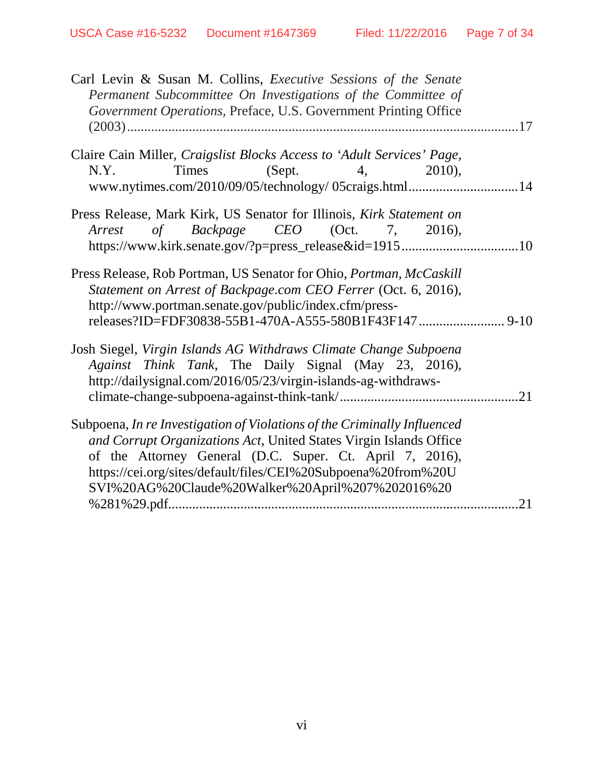| Carl Levin & Susan M. Collins, Executive Sessions of the Senate<br>Permanent Subcommittee On Investigations of the Committee of<br>Government Operations, Preface, U.S. Government Printing Office                                                                                                                              |     |
|---------------------------------------------------------------------------------------------------------------------------------------------------------------------------------------------------------------------------------------------------------------------------------------------------------------------------------|-----|
| Claire Cain Miller, Craigslist Blocks Access to 'Adult Services' Page,<br>Times (Sept. 4, 2010),<br>N.Y.<br>www.nytimes.com/2010/09/05/technology/ 05craigs.html14                                                                                                                                                              |     |
| Press Release, Mark Kirk, US Senator for Illinois, Kirk Statement on<br>Arrest of Backpage CEO (Oct. 7, 2016),<br>https://www.kirk.senate.gov/?p=press_release&id=191510                                                                                                                                                        |     |
| Press Release, Rob Portman, US Senator for Ohio, Portman, McCaskill<br>Statement on Arrest of Backpage.com CEO Ferrer (Oct. 6, 2016),<br>http://www.portman.senate.gov/public/index.cfm/press-                                                                                                                                  |     |
| Josh Siegel, Virgin Islands AG Withdraws Climate Change Subpoena<br>Against Think Tank, The Daily Signal (May 23, 2016),<br>http://dailysignal.com/2016/05/23/virgin-islands-ag-withdraws-                                                                                                                                      |     |
| Subpoena, In re Investigation of Violations of the Criminally Influenced<br>and Corrupt Organizations Act, United States Virgin Islands Office<br>of the Attorney General (D.C. Super. Ct. April 7, 2016),<br>https://cei.org/sites/default/files/CEI%20Subpoena%20from%20U<br>SVI%20AG%20Claude%20Walker%20April%207%202016%20 |     |
|                                                                                                                                                                                                                                                                                                                                 | .21 |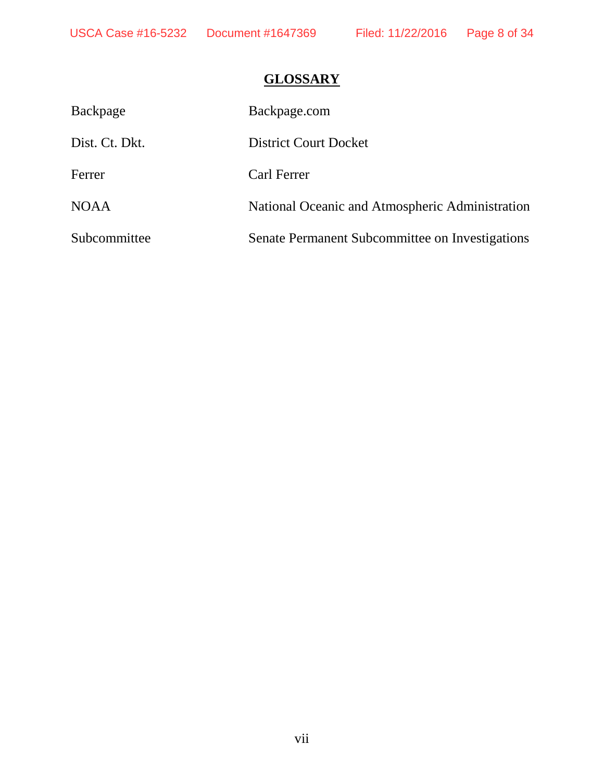# **GLOSSARY**

| Backpage       | Backpage.com                                    |
|----------------|-------------------------------------------------|
| Dist. Ct. Dkt. | <b>District Court Docket</b>                    |
| Ferrer         | Carl Ferrer                                     |
| <b>NOAA</b>    | National Oceanic and Atmospheric Administration |
| Subcommittee   | Senate Permanent Subcommittee on Investigations |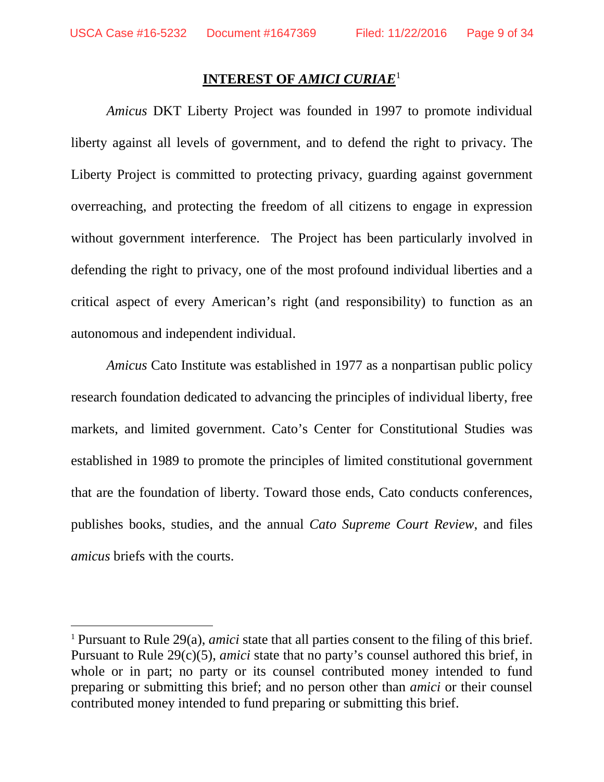### **INTEREST OF** *AMICI CURIAE*[1](#page-8-0)

*Amicus* DKT Liberty Project was founded in 1997 to promote individual liberty against all levels of government, and to defend the right to privacy. The Liberty Project is committed to protecting privacy, guarding against government overreaching, and protecting the freedom of all citizens to engage in expression without government interference. The Project has been particularly involved in defending the right to privacy, one of the most profound individual liberties and a critical aspect of every American's right (and responsibility) to function as an autonomous and independent individual.

*Amicus* Cato Institute was established in 1977 as a nonpartisan public policy research foundation dedicated to advancing the principles of individual liberty, free markets, and limited government. Cato's Center for Constitutional Studies was established in 1989 to promote the principles of limited constitutional government that are the foundation of liberty. Toward those ends, Cato conducts conferences, publishes books, studies, and the annual *Cato Supreme Court Review*, and files *amicus* briefs with the courts.

<span id="page-8-0"></span> <sup>1</sup> Pursuant to Rule 29(a), *amici* state that all parties consent to the filing of this brief. Pursuant to Rule 29(c)(5), *amici* state that no party's counsel authored this brief, in whole or in part; no party or its counsel contributed money intended to fund preparing or submitting this brief; and no person other than *amici* or their counsel contributed money intended to fund preparing or submitting this brief.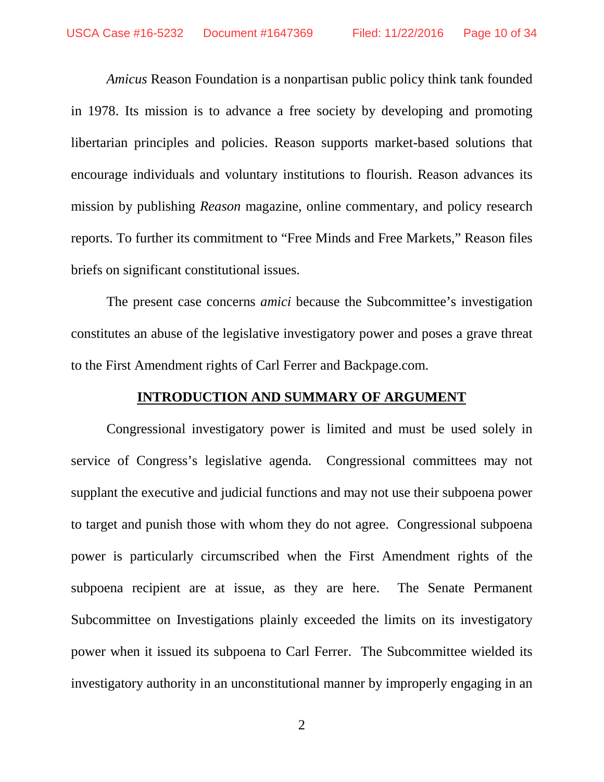*Amicus* Reason Foundation is a nonpartisan public policy think tank founded in 1978. Its mission is to advance a free society by developing and promoting libertarian principles and policies. Reason supports market-based solutions that encourage individuals and voluntary institutions to flourish. Reason advances its mission by publishing *Reason* magazine, online commentary, and policy research reports. To further its commitment to "Free Minds and Free Markets," Reason files briefs on significant constitutional issues.

The present case concerns *amici* because the Subcommittee's investigation constitutes an abuse of the legislative investigatory power and poses a grave threat to the First Amendment rights of Carl Ferrer and Backpage.com.

#### **INTRODUCTION AND SUMMARY OF ARGUMENT**

Congressional investigatory power is limited and must be used solely in service of Congress's legislative agenda. Congressional committees may not supplant the executive and judicial functions and may not use their subpoena power to target and punish those with whom they do not agree. Congressional subpoena power is particularly circumscribed when the First Amendment rights of the subpoena recipient are at issue, as they are here. The Senate Permanent Subcommittee on Investigations plainly exceeded the limits on its investigatory power when it issued its subpoena to Carl Ferrer. The Subcommittee wielded its investigatory authority in an unconstitutional manner by improperly engaging in an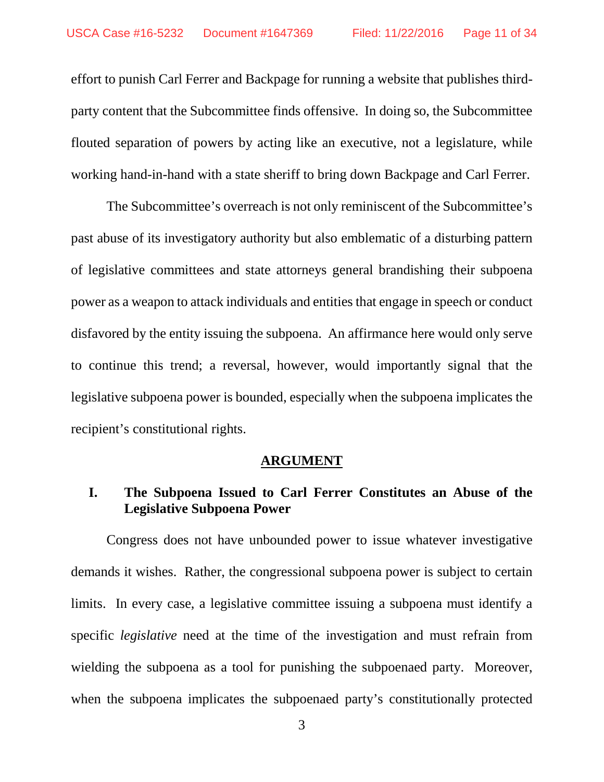effort to punish Carl Ferrer and Backpage for running a website that publishes thirdparty content that the Subcommittee finds offensive. In doing so, the Subcommittee flouted separation of powers by acting like an executive, not a legislature, while working hand-in-hand with a state sheriff to bring down Backpage and Carl Ferrer.

The Subcommittee's overreach is not only reminiscent of the Subcommittee's past abuse of its investigatory authority but also emblematic of a disturbing pattern of legislative committees and state attorneys general brandishing their subpoena power as a weapon to attack individuals and entities that engage in speech or conduct disfavored by the entity issuing the subpoena. An affirmance here would only serve to continue this trend; a reversal, however, would importantly signal that the legislative subpoena power is bounded, especially when the subpoena implicates the recipient's constitutional rights.

#### **ARGUMENT**

# **I. The Subpoena Issued to Carl Ferrer Constitutes an Abuse of the Legislative Subpoena Power**

Congress does not have unbounded power to issue whatever investigative demands it wishes. Rather, the congressional subpoena power is subject to certain limits. In every case, a legislative committee issuing a subpoena must identify a specific *legislative* need at the time of the investigation and must refrain from wielding the subpoena as a tool for punishing the subpoenaed party. Moreover, when the subpoena implicates the subpoenaed party's constitutionally protected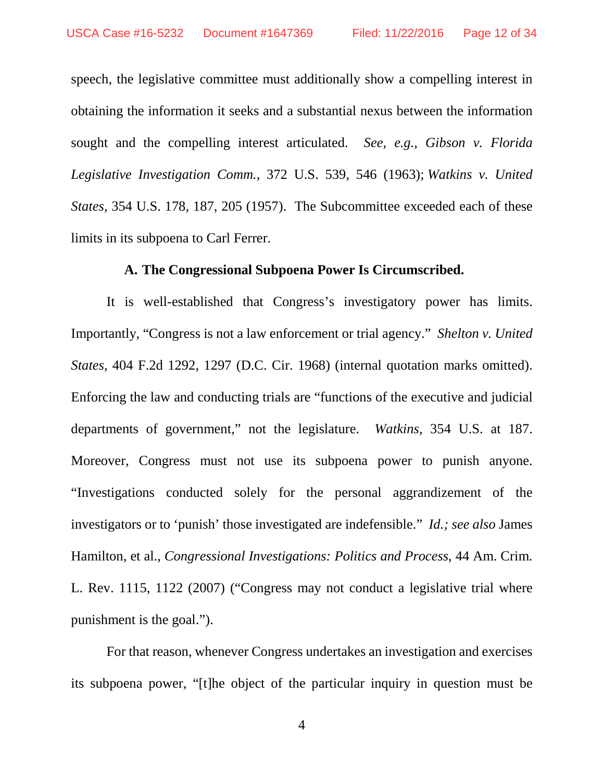speech, the legislative committee must additionally show a compelling interest in obtaining the information it seeks and a substantial nexus between the information sought and the compelling interest articulated. *See, e.g., Gibson v. Florida Legislative Investigation Comm.*, 372 U.S. 539, 546 (1963); *Watkins v. United States*, 354 U.S. 178, 187, 205 (1957).The Subcommittee exceeded each of these limits in its subpoena to Carl Ferrer.

#### **A. The Congressional Subpoena Power Is Circumscribed.**

It is well-established that Congress's investigatory power has limits. Importantly, "Congress is not a law enforcement or trial agency." *Shelton v. United States*, 404 F.2d 1292, 1297 (D.C. Cir. 1968) (internal quotation marks omitted). Enforcing the law and conducting trials are "functions of the executive and judicial departments of government," not the legislature. *Watkins,* 354 U.S. at 187. Moreover, Congress must not use its subpoena power to punish anyone. "Investigations conducted solely for the personal aggrandizement of the investigators or to 'punish' those investigated are indefensible." *Id.; see also* James Hamilton, et al., *Congressional Investigations: Politics and Process*, 44 Am. Crim. L. Rev. 1115, 1122 (2007) ("Congress may not conduct a legislative trial where punishment is the goal.").

For that reason, whenever Congress undertakes an investigation and exercises its subpoena power, "[t]he object of the particular inquiry in question must be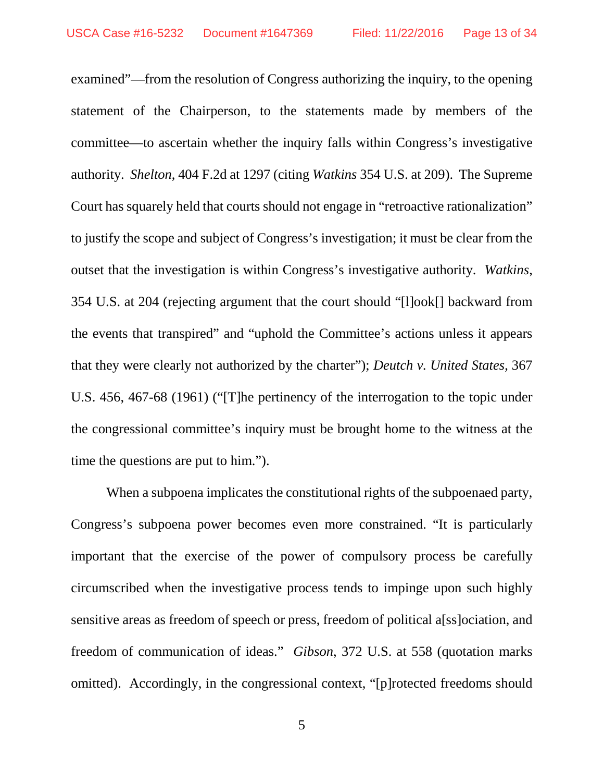examined"—from the resolution of Congress authorizing the inquiry, to the opening statement of the Chairperson, to the statements made by members of the committee—to ascertain whether the inquiry falls within Congress's investigative authority. *Shelton*, 404 F.2d at 1297 (citing *Watkins* 354 U.S. at 209). The Supreme Court has squarely held that courts should not engage in "retroactive rationalization" to justify the scope and subject of Congress's investigation; it must be clear from the outset that the investigation is within Congress's investigative authority. *Watkins*, 354 U.S. at 204 (rejecting argument that the court should "[l]ook[] backward from the events that transpired" and "uphold the Committee's actions unless it appears that they were clearly not authorized by the charter"); *Deutch v. United States*, 367 U.S. 456, 467-68 (1961) ("[T]he pertinency of the interrogation to the topic under the congressional committee's inquiry must be brought home to the witness at the time the questions are put to him.").

When a subpoena implicates the constitutional rights of the subpoenaed party, Congress's subpoena power becomes even more constrained. "It is particularly important that the exercise of the power of compulsory process be carefully circumscribed when the investigative process tends to impinge upon such highly sensitive areas as freedom of speech or press, freedom of political a[ss]ociation, and freedom of communication of ideas." *Gibson*, 372 U.S. at 558 (quotation marks omitted). Accordingly, in the congressional context, "[p]rotected freedoms should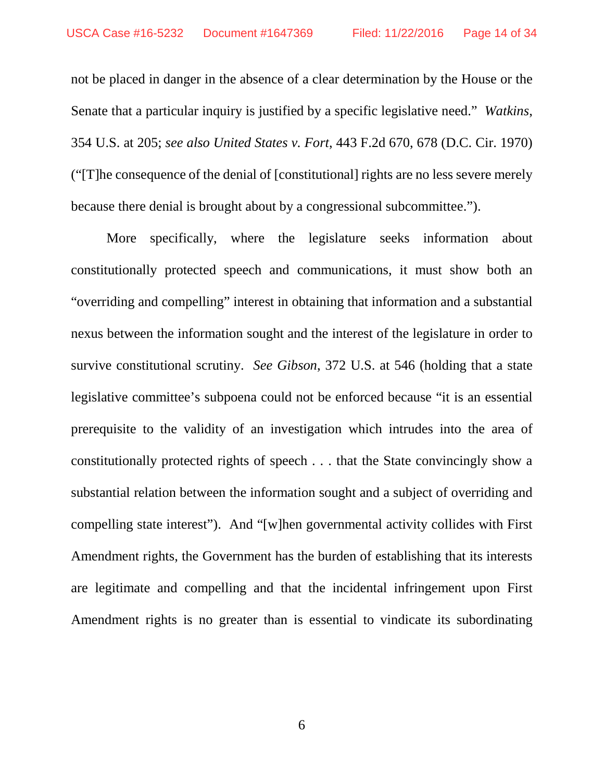not be placed in danger in the absence of a clear determination by the House or the Senate that a particular inquiry is justified by a specific legislative need." *Watkins*, 354 U.S. at 205; *see also United States v. Fort*, 443 F.2d 670, 678 (D.C. Cir. 1970) ("[T]he consequence of the denial of [constitutional] rights are no less severe merely because there denial is brought about by a congressional subcommittee.").

More specifically, where the legislature seeks information about constitutionally protected speech and communications, it must show both an "overriding and compelling" interest in obtaining that information and a substantial nexus between the information sought and the interest of the legislature in order to survive constitutional scrutiny. *See Gibson*, 372 U.S. at 546 (holding that a state legislative committee's subpoena could not be enforced because "it is an essential prerequisite to the validity of an investigation which intrudes into the area of constitutionally protected rights of speech . . . that the State convincingly show a substantial relation between the information sought and a subject of overriding and compelling state interest"). And "[w]hen governmental activity collides with First Amendment rights, the Government has the burden of establishing that its interests are legitimate and compelling and that the incidental infringement upon First Amendment rights is no greater than is essential to vindicate its subordinating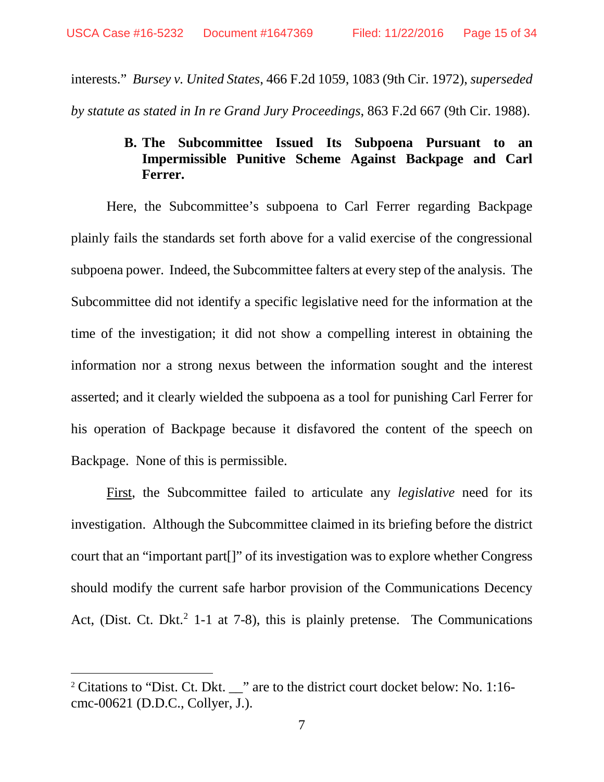interests." *Bursey v. United States*, 466 F.2d 1059, 1083 (9th Cir. 1972), *superseded by statute as stated in In re Grand Jury Proceedings*, 863 F.2d 667 (9th Cir. 1988).

# **B. The Subcommittee Issued Its Subpoena Pursuant to an Impermissible Punitive Scheme Against Backpage and Carl Ferrer.**

Here, the Subcommittee's subpoena to Carl Ferrer regarding Backpage plainly fails the standards set forth above for a valid exercise of the congressional subpoena power. Indeed, the Subcommittee falters at every step of the analysis. The Subcommittee did not identify a specific legislative need for the information at the time of the investigation; it did not show a compelling interest in obtaining the information nor a strong nexus between the information sought and the interest asserted; and it clearly wielded the subpoena as a tool for punishing Carl Ferrer for his operation of Backpage because it disfavored the content of the speech on Backpage. None of this is permissible.

First, the Subcommittee failed to articulate any *legislative* need for its investigation. Although the Subcommittee claimed in its briefing before the district court that an "important part[]" of its investigation was to explore whether Congress should modify the current safe harbor provision of the Communications Decency Act, (Dist. Ct. Dkt.<sup>[2](#page-14-0)</sup> 1-1 at 7-8), this is plainly pretense. The Communications

<span id="page-14-0"></span><sup>&</sup>lt;sup>2</sup> Citations to "Dist. Ct. Dkt. \_\_" are to the district court docket below: No. 1:16cmc-00621 (D.D.C., Collyer, J.).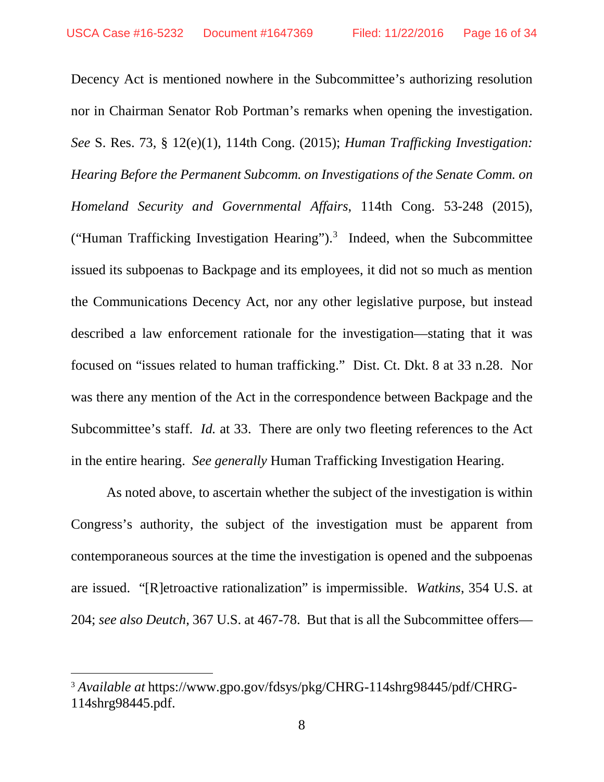Decency Act is mentioned nowhere in the Subcommittee's authorizing resolution nor in Chairman Senator Rob Portman's remarks when opening the investigation. *See* S. Res. 73, § 12(e)(1), 114th Cong. (2015); *Human Trafficking Investigation: Hearing Before the Permanent Subcomm. on Investigations of the Senate Comm. on Homeland Security and Governmental Affairs*, 114th Cong. 53-248 (2015), ("Human Trafficking Investigation Hearing"). [3](#page-15-0) Indeed, when the Subcommittee issued its subpoenas to Backpage and its employees, it did not so much as mention the Communications Decency Act, nor any other legislative purpose, but instead described a law enforcement rationale for the investigation—stating that it was focused on "issues related to human trafficking." Dist. Ct. Dkt. 8 at 33 n.28. Nor was there any mention of the Act in the correspondence between Backpage and the Subcommittee's staff. *Id.* at 33. There are only two fleeting references to the Act in the entire hearing. *See generally* Human Trafficking Investigation Hearing.

As noted above, to ascertain whether the subject of the investigation is within Congress's authority, the subject of the investigation must be apparent from contemporaneous sources at the time the investigation is opened and the subpoenas are issued. "[R]etroactive rationalization" is impermissible. *Watkins*, 354 U.S. at 204; *see also Deutch*, 367 U.S. at 467-78. But that is all the Subcommittee offers—

<span id="page-15-0"></span> <sup>3</sup> *Available at* https://www.gpo.gov/fdsys/pkg/CHRG-114shrg98445/pdf/CHRG-114shrg98445.pdf.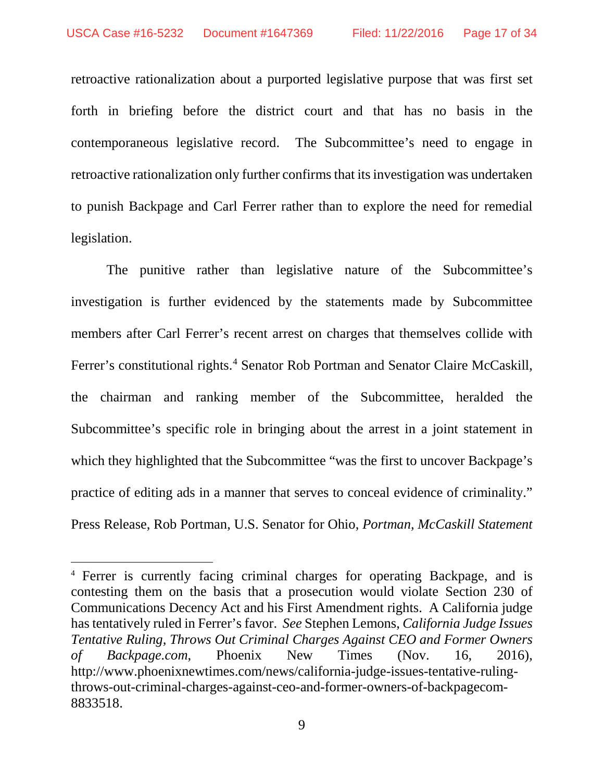retroactive rationalization about a purported legislative purpose that was first set forth in briefing before the district court and that has no basis in the contemporaneous legislative record. The Subcommittee's need to engage in retroactive rationalization only further confirms that itsinvestigation was undertaken to punish Backpage and Carl Ferrer rather than to explore the need for remedial legislation.

The punitive rather than legislative nature of the Subcommittee's investigation is further evidenced by the statements made by Subcommittee members after Carl Ferrer's recent arrest on charges that themselves collide with Ferrer's constitutional rights.<sup>[4](#page-16-0)</sup> Senator Rob Portman and Senator Claire McCaskill, the chairman and ranking member of the Subcommittee, heralded the Subcommittee's specific role in bringing about the arrest in a joint statement in which they highlighted that the Subcommittee "was the first to uncover Backpage's practice of editing ads in a manner that serves to conceal evidence of criminality." Press Release, Rob Portman, U.S. Senator for Ohio, *Portman, McCaskill Statement* 

<span id="page-16-0"></span> <sup>4</sup> Ferrer is currently facing criminal charges for operating Backpage, and is contesting them on the basis that a prosecution would violate Section 230 of Communications Decency Act and his First Amendment rights. A California judge has tentatively ruled in Ferrer's favor. *See* Stephen Lemons, *California Judge Issues Tentative Ruling, Throws Out Criminal Charges Against CEO and Former Owners of Backpage.com*, Phoenix New Times (Nov. 16, 2016), http://www.phoenixnewtimes.com/news/california-judge-issues-tentative-rulingthrows-out-criminal-charges-against-ceo-and-former-owners-of-backpagecom-8833518.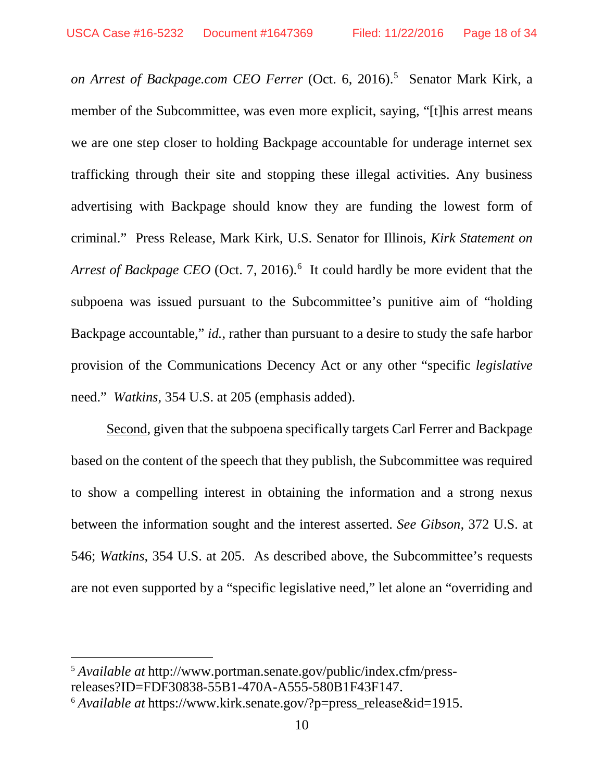*on Arrest of Backpage.com CEO Ferrer* (Oct. 6, 2016). [5](#page-17-0) Senator Mark Kirk, a member of the Subcommittee, was even more explicit, saying, "[t]his arrest means we are one step closer to holding Backpage accountable for underage internet sex trafficking through their site and stopping these illegal activities. Any business advertising with Backpage should know they are funding the lowest form of criminal." Press Release, Mark Kirk, U.S. Senator for Illinois, *Kirk Statement on*  Arrest of Backpage CEO (Oct. 7, 201[6](#page-17-1)).<sup>6</sup> It could hardly be more evident that the subpoena was issued pursuant to the Subcommittee's punitive aim of "holding Backpage accountable," *id.*, rather than pursuant to a desire to study the safe harbor provision of the Communications Decency Act or any other "specific *legislative* need." *Watkins*, 354 U.S. at 205 (emphasis added).

Second, given that the subpoena specifically targets Carl Ferrer and Backpage based on the content of the speech that they publish, the Subcommittee was required to show a compelling interest in obtaining the information and a strong nexus between the information sought and the interest asserted. *See Gibson,* 372 U.S. at 546; *Watkins*, 354 U.S. at 205. As described above, the Subcommittee's requests are not even supported by a "specific legislative need," let alone an "overriding and

<span id="page-17-0"></span> <sup>5</sup> *Available at* http://www.portman.senate.gov/public/index.cfm/pressreleases?ID=FDF30838-55B1-470A-A555-580B1F43F147.

<span id="page-17-1"></span><sup>6</sup> *Available at* https://www.kirk.senate.gov/?p=press\_release&id=1915.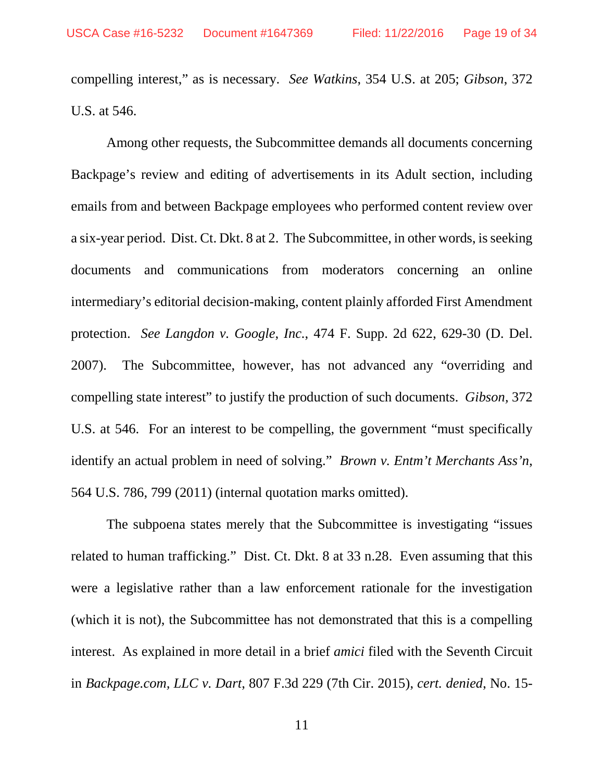compelling interest," as is necessary. *See Watkins*, 354 U.S. at 205; *Gibson*, 372 U.S. at 546.

Among other requests, the Subcommittee demands all documents concerning Backpage's review and editing of advertisements in its Adult section, including emails from and between Backpage employees who performed content review over a six-year period. Dist. Ct. Dkt. 8 at 2. The Subcommittee, in other words, is seeking documents and communications from moderators concerning an online intermediary's editorial decision-making, content plainly afforded First Amendment protection. *See Langdon v. Google*, *Inc.*, 474 F. Supp. 2d 622, 629-30 (D. Del. 2007). The Subcommittee, however, has not advanced any "overriding and compelling state interest" to justify the production of such documents. *Gibson,* 372 U.S. at 546. For an interest to be compelling, the government "must specifically identify an actual problem in need of solving." *Brown v. Entm't Merchants Ass'n*, 564 U.S. 786, 799 (2011) (internal quotation marks omitted).

The subpoena states merely that the Subcommittee is investigating "issues related to human trafficking." Dist. Ct. Dkt. 8 at 33 n.28. Even assuming that this were a legislative rather than a law enforcement rationale for the investigation (which it is not), the Subcommittee has not demonstrated that this is a compelling interest. As explained in more detail in a brief *amici* filed with the Seventh Circuit in *Backpage.com, LLC v. Dart*, 807 F.3d 229 (7th Cir. 2015), *cert. denied*, No. 15-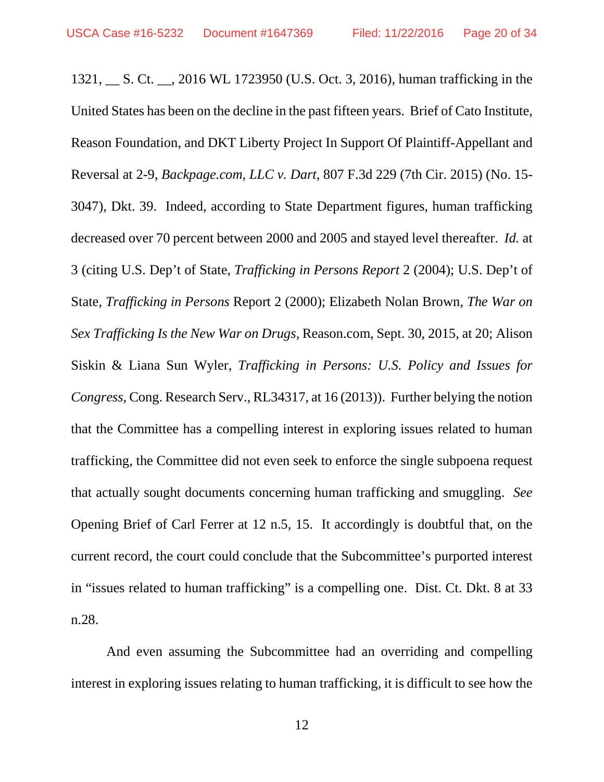1321, \_\_ S. Ct. \_\_, 2016 WL 1723950 (U.S. Oct. 3, 2016), human trafficking in the United States has been on the decline in the past fifteen years. Brief of Cato Institute, Reason Foundation, and DKT Liberty Project In Support Of Plaintiff-Appellant and Reversal at 2-9, *Backpage.com, LLC v. Dart*, 807 F.3d 229 (7th Cir. 2015) (No. 15- 3047), Dkt. 39. Indeed, according to State Department figures, human trafficking decreased over 70 percent between 2000 and 2005 and stayed level thereafter. *Id.* at 3 (citing U.S. Dep't of State, *Trafficking in Persons Report* 2 (2004); U.S. Dep't of State, *Trafficking in Persons* Report 2 (2000); Elizabeth Nolan Brown, *The War on Sex Trafficking Is the New War on Drugs,* Reason.com, Sept. 30, 2015, at 20; Alison Siskin & Liana Sun Wyler, *Trafficking in Persons: U.S. Policy and Issues for Congress*, Cong. Research Serv., RL34317, at 16 (2013)). Further belying the notion that the Committee has a compelling interest in exploring issues related to human trafficking, the Committee did not even seek to enforce the single subpoena request that actually sought documents concerning human trafficking and smuggling. *See* Opening Brief of Carl Ferrer at 12 n.5, 15. It accordingly is doubtful that, on the current record, the court could conclude that the Subcommittee's purported interest in "issues related to human trafficking" is a compelling one. Dist. Ct. Dkt. 8 at 33 n.28.

And even assuming the Subcommittee had an overriding and compelling interest in exploring issues relating to human trafficking, it is difficult to see how the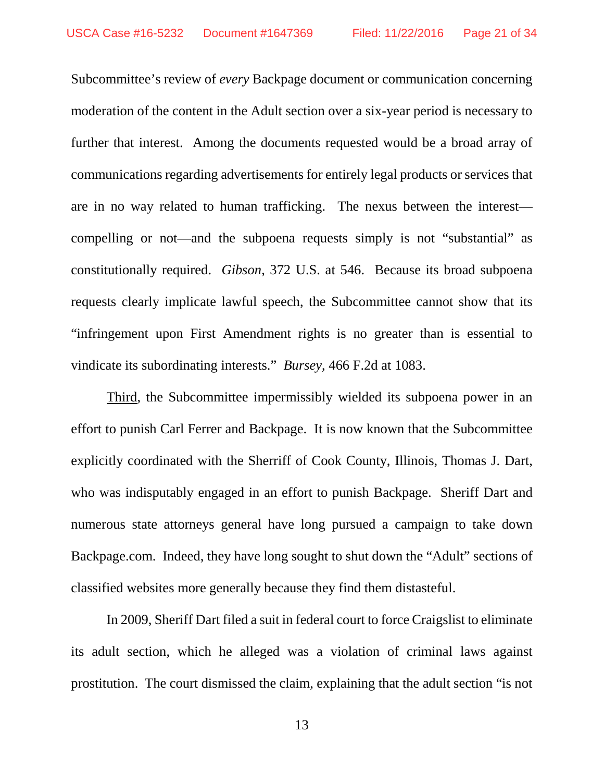Subcommittee's review of *every* Backpage document or communication concerning moderation of the content in the Adult section over a six-year period is necessary to further that interest. Among the documents requested would be a broad array of communications regarding advertisements for entirely legal products or services that are in no way related to human trafficking. The nexus between the interest compelling or not—and the subpoena requests simply is not "substantial" as constitutionally required. *Gibson*, 372 U.S. at 546. Because its broad subpoena requests clearly implicate lawful speech, the Subcommittee cannot show that its "infringement upon First Amendment rights is no greater than is essential to vindicate its subordinating interests." *Bursey*, 466 F.2d at 1083.

Third, the Subcommittee impermissibly wielded its subpoena power in an effort to punish Carl Ferrer and Backpage. It is now known that the Subcommittee explicitly coordinated with the Sherriff of Cook County, Illinois, Thomas J. Dart, who was indisputably engaged in an effort to punish Backpage. Sheriff Dart and numerous state attorneys general have long pursued a campaign to take down Backpage.com. Indeed, they have long sought to shut down the "Adult" sections of classified websites more generally because they find them distasteful.

In 2009, Sheriff Dart filed a suit in federal court to force Craigslist to eliminate its adult section, which he alleged was a violation of criminal laws against prostitution. The court dismissed the claim, explaining that the adult section "is not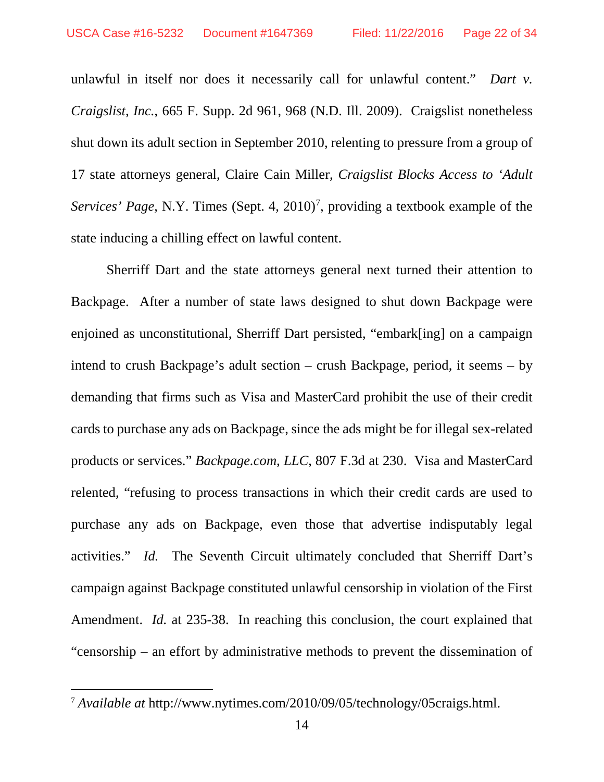unlawful in itself nor does it necessarily call for unlawful content." *Dart v. Craigslist, Inc.*, 665 F. Supp. 2d 961, 968 (N.D. Ill. 2009). Craigslist nonetheless shut down its adult section in September 2010, relenting to pressure from a group of 17 state attorneys general, Claire Cain Miller, *Craigslist Blocks Access to 'Adult*  Services' Page, N.Y. Times (Sept. 4, 2010)<sup>[7](#page-21-0)</sup>, providing a textbook example of the state inducing a chilling effect on lawful content.

Sherriff Dart and the state attorneys general next turned their attention to Backpage. After a number of state laws designed to shut down Backpage were enjoined as unconstitutional, Sherriff Dart persisted, "embark[ing] on a campaign intend to crush Backpage's adult section – crush Backpage, period, it seems – by demanding that firms such as Visa and MasterCard prohibit the use of their credit cards to purchase any ads on Backpage, since the ads might be for illegal sex-related products or services." *Backpage.com, LLC*, 807 F.3d at 230. Visa and MasterCard relented, "refusing to process transactions in which their credit cards are used to purchase any ads on Backpage, even those that advertise indisputably legal activities." *Id.* The Seventh Circuit ultimately concluded that Sherriff Dart's campaign against Backpage constituted unlawful censorship in violation of the First Amendment. *Id.* at 235-38. In reaching this conclusion, the court explained that "censorship – an effort by administrative methods to prevent the dissemination of

<span id="page-21-0"></span> <sup>7</sup> *Available at* http://www.nytimes.com/2010/09/05/technology/05craigs.html.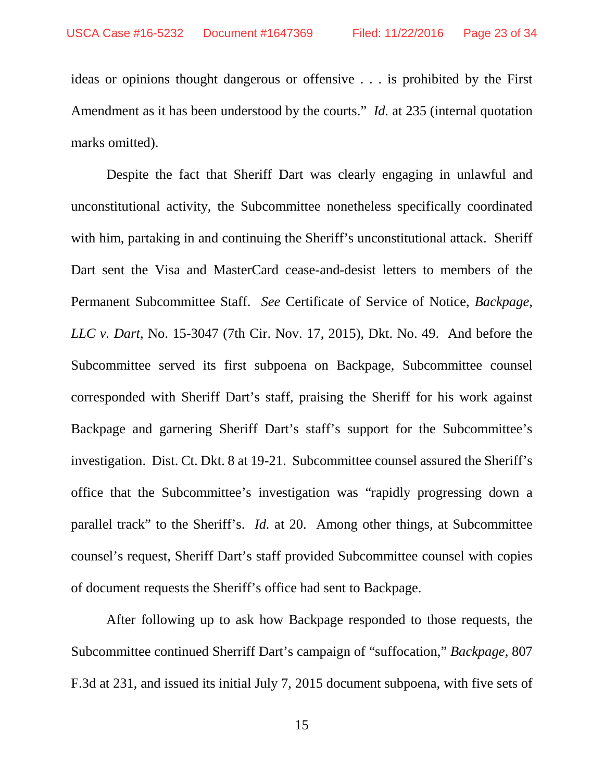ideas or opinions thought dangerous or offensive . . . is prohibited by the First Amendment as it has been understood by the courts." *Id.* at 235 (internal quotation marks omitted).

Despite the fact that Sheriff Dart was clearly engaging in unlawful and unconstitutional activity, the Subcommittee nonetheless specifically coordinated with him, partaking in and continuing the Sheriff's unconstitutional attack. Sheriff Dart sent the Visa and MasterCard cease-and-desist letters to members of the Permanent Subcommittee Staff. *See* Certificate of Service of Notice, *Backpage, LLC v. Dart*, No. 15-3047 (7th Cir. Nov. 17, 2015), Dkt. No. 49. And before the Subcommittee served its first subpoena on Backpage, Subcommittee counsel corresponded with Sheriff Dart's staff, praising the Sheriff for his work against Backpage and garnering Sheriff Dart's staff's support for the Subcommittee's investigation. Dist. Ct. Dkt. 8 at 19-21. Subcommittee counsel assured the Sheriff's office that the Subcommittee's investigation was "rapidly progressing down a parallel track" to the Sheriff's. *Id.* at 20. Among other things, at Subcommittee counsel's request, Sheriff Dart's staff provided Subcommittee counsel with copies of document requests the Sheriff's office had sent to Backpage.

After following up to ask how Backpage responded to those requests, the Subcommittee continued Sherriff Dart's campaign of "suffocation," *Backpage*, 807 F.3d at 231, and issued its initial July 7, 2015 document subpoena, with five sets of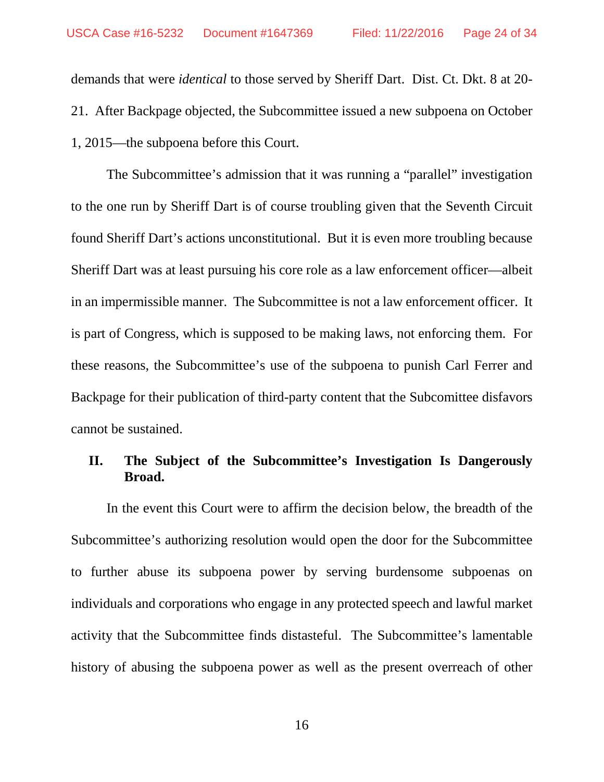demands that were *identical* to those served by Sheriff Dart. Dist. Ct. Dkt. 8 at 20- 21. After Backpage objected, the Subcommittee issued a new subpoena on October 1, 2015—the subpoena before this Court.

The Subcommittee's admission that it was running a "parallel" investigation to the one run by Sheriff Dart is of course troubling given that the Seventh Circuit found Sheriff Dart's actions unconstitutional. But it is even more troubling because Sheriff Dart was at least pursuing his core role as a law enforcement officer—albeit in an impermissible manner. The Subcommittee is not a law enforcement officer. It is part of Congress, which is supposed to be making laws, not enforcing them. For these reasons, the Subcommittee's use of the subpoena to punish Carl Ferrer and Backpage for their publication of third-party content that the Subcomittee disfavors cannot be sustained.

## **II. The Subject of the Subcommittee's Investigation Is Dangerously Broad.**

In the event this Court were to affirm the decision below, the breadth of the Subcommittee's authorizing resolution would open the door for the Subcommittee to further abuse its subpoena power by serving burdensome subpoenas on individuals and corporations who engage in any protected speech and lawful market activity that the Subcommittee finds distasteful. The Subcommittee's lamentable history of abusing the subpoena power as well as the present overreach of other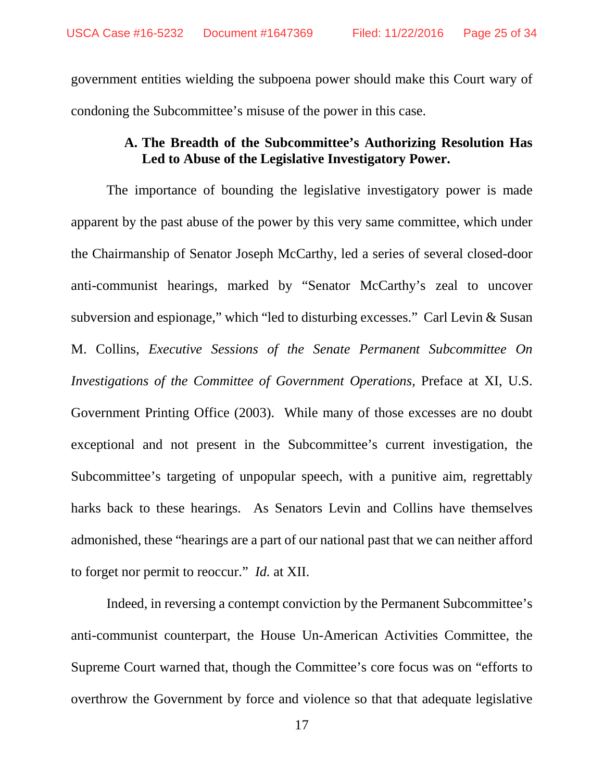government entities wielding the subpoena power should make this Court wary of condoning the Subcommittee's misuse of the power in this case.

# **A. The Breadth of the Subcommittee's Authorizing Resolution Has Led to Abuse of the Legislative Investigatory Power.**

The importance of bounding the legislative investigatory power is made apparent by the past abuse of the power by this very same committee, which under the Chairmanship of Senator Joseph McCarthy, led a series of several closed-door anti-communist hearings, marked by "Senator McCarthy's zeal to uncover subversion and espionage," which "led to disturbing excesses." Carl Levin & Susan M. Collins, *Executive Sessions of the Senate Permanent Subcommittee On Investigations of the Committee of Government Operations,* Preface at XI, U.S. Government Printing Office (2003). While many of those excesses are no doubt exceptional and not present in the Subcommittee's current investigation, the Subcommittee's targeting of unpopular speech, with a punitive aim, regrettably harks back to these hearings. As Senators Levin and Collins have themselves admonished, these "hearings are a part of our national past that we can neither afford to forget nor permit to reoccur." *Id.* at XII.

Indeed, in reversing a contempt conviction by the Permanent Subcommittee's anti-communist counterpart, the House Un-American Activities Committee, the Supreme Court warned that, though the Committee's core focus was on "efforts to overthrow the Government by force and violence so that that adequate legislative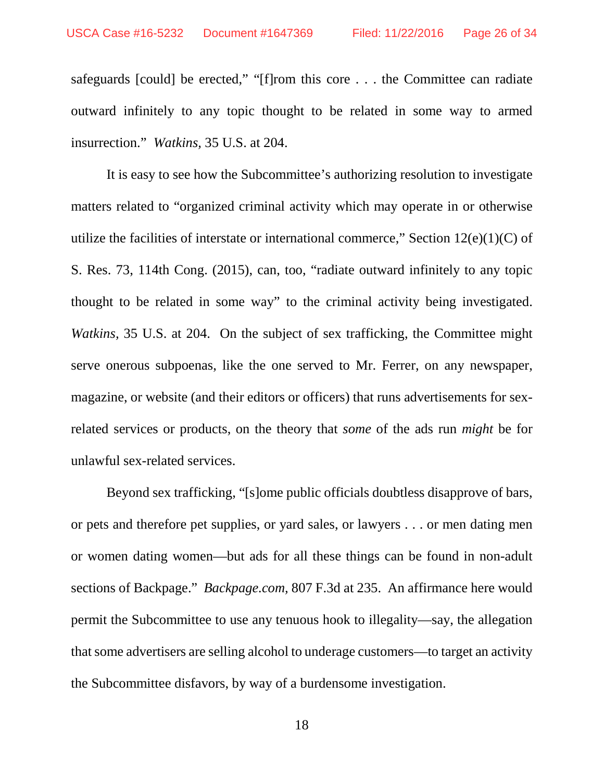safeguards [could] be erected," "[f]rom this core . . . the Committee can radiate outward infinitely to any topic thought to be related in some way to armed insurrection." *Watkins,* 35 U.S. at 204.

It is easy to see how the Subcommittee's authorizing resolution to investigate matters related to "organized criminal activity which may operate in or otherwise utilize the facilities of interstate or international commerce," Section  $12(e)(1)(C)$  of S. Res. 73, 114th Cong. (2015), can, too, "radiate outward infinitely to any topic thought to be related in some way" to the criminal activity being investigated. *Watkins*, 35 U.S. at 204. On the subject of sex trafficking, the Committee might serve onerous subpoenas, like the one served to Mr. Ferrer, on any newspaper, magazine, or website (and their editors or officers) that runs advertisements for sexrelated services or products, on the theory that *some* of the ads run *might* be for unlawful sex-related services.

Beyond sex trafficking, "[s]ome public officials doubtless disapprove of bars, or pets and therefore pet supplies, or yard sales, or lawyers . . . or men dating men or women dating women—but ads for all these things can be found in non-adult sections of Backpage." *Backpage.com*, 807 F.3d at 235. An affirmance here would permit the Subcommittee to use any tenuous hook to illegality—say, the allegation that some advertisers are selling alcohol to underage customers—to target an activity the Subcommittee disfavors, by way of a burdensome investigation.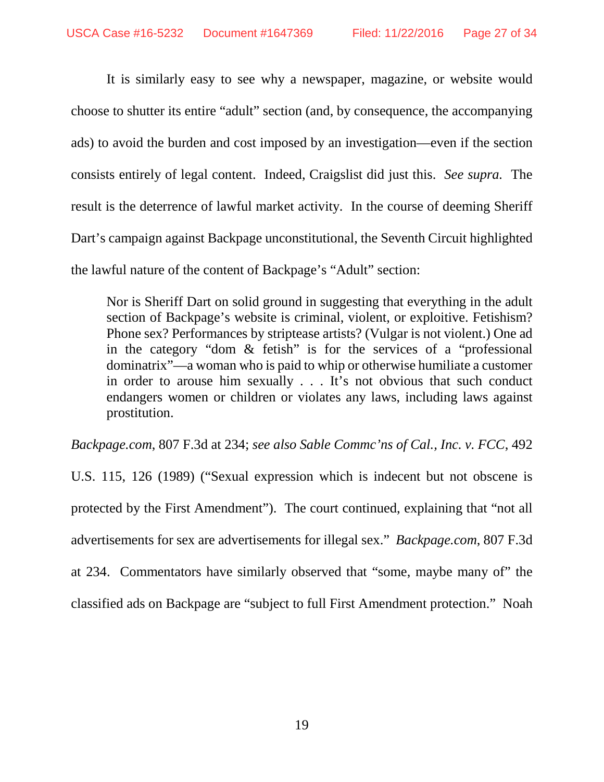It is similarly easy to see why a newspaper, magazine, or website would choose to shutter its entire "adult" section (and, by consequence, the accompanying ads) to avoid the burden and cost imposed by an investigation—even if the section consists entirely of legal content. Indeed, Craigslist did just this. *See supra.* The result is the deterrence of lawful market activity. In the course of deeming Sheriff Dart's campaign against Backpage unconstitutional, the Seventh Circuit highlighted the lawful nature of the content of Backpage's "Adult" section:

Nor is Sheriff Dart on solid ground in suggesting that everything in the adult section of Backpage's website is criminal, violent, or exploitive. Fetishism? Phone sex? Performances by striptease artists? (Vulgar is not violent.) One ad in the category "dom & fetish" is for the services of a "professional dominatrix"—a woman who is paid to whip or otherwise humiliate a customer in order to arouse him sexually . . . It's not obvious that such conduct endangers women or children or violates any laws, including laws against prostitution.

*Backpage.com*, 807 F.3d at 234; *see also Sable Commc'ns of Cal., Inc. v. FCC*, 492 U.S. 115, 126 (1989) ("Sexual expression which is indecent but not obscene is protected by the First Amendment"). The court continued, explaining that "not all advertisements for sex are advertisements for illegal sex." *Backpage.com*, 807 F.3d

at 234. Commentators have similarly observed that "some, maybe many of" the classified ads on Backpage are "subject to full First Amendment protection." Noah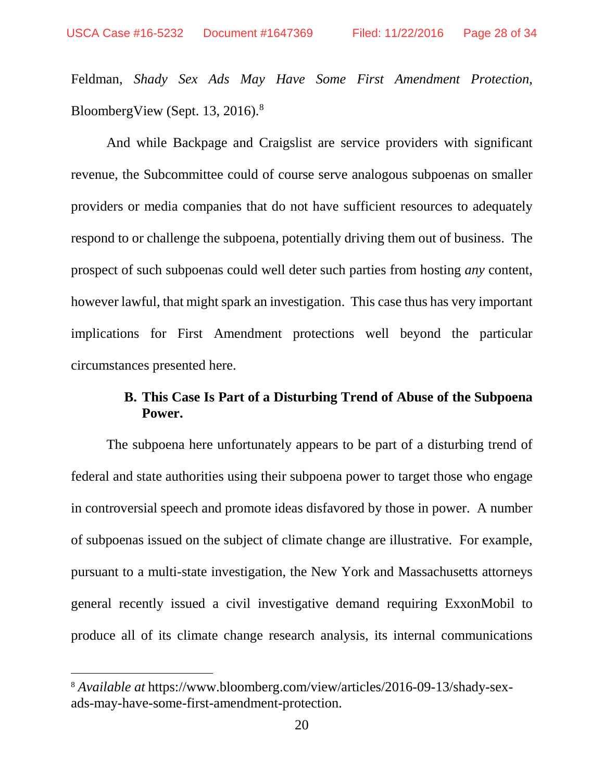Feldman, *Shady Sex Ads May Have Some First Amendment Protection*, BloombergView (Sept. 13, 2016).<sup>[8](#page-27-0)</sup>

And while Backpage and Craigslist are service providers with significant revenue, the Subcommittee could of course serve analogous subpoenas on smaller providers or media companies that do not have sufficient resources to adequately respond to or challenge the subpoena, potentially driving them out of business. The prospect of such subpoenas could well deter such parties from hosting *any* content, however lawful, that might spark an investigation. This case thus has very important implications for First Amendment protections well beyond the particular circumstances presented here.

# **B. This Case Is Part of a Disturbing Trend of Abuse of the Subpoena Power.**

The subpoena here unfortunately appears to be part of a disturbing trend of federal and state authorities using their subpoena power to target those who engage in controversial speech and promote ideas disfavored by those in power. A number of subpoenas issued on the subject of climate change are illustrative. For example, pursuant to a multi-state investigation, the New York and Massachusetts attorneys general recently issued a civil investigative demand requiring ExxonMobil to produce all of its climate change research analysis, its internal communications

<span id="page-27-0"></span> <sup>8</sup> *Available at* https://www.bloomberg.com/view/articles/2016-09-13/shady-sexads-may-have-some-first-amendment-protection.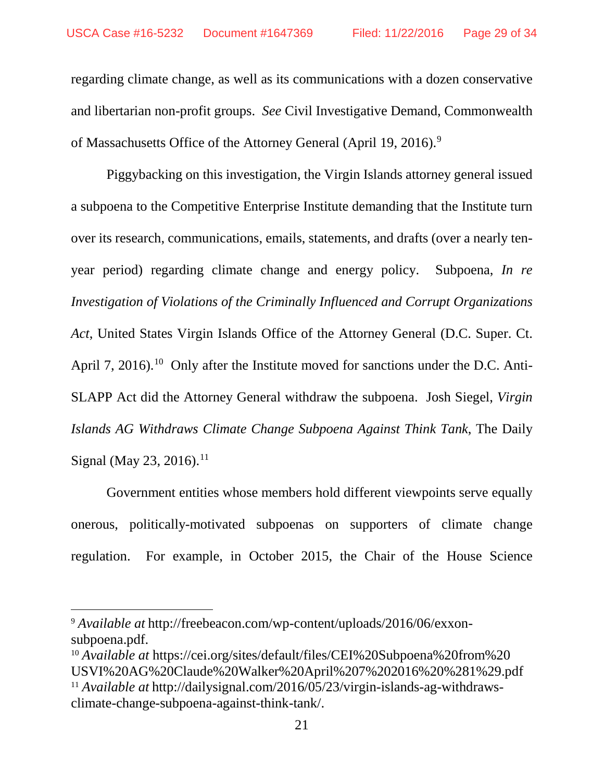regarding climate change, as well as its communications with a dozen conservative and libertarian non-profit groups. *See* Civil Investigative Demand, Commonwealth of Massachusetts Office of the Attorney General (April 1[9](#page-28-0), 2016).<sup>9</sup>

Piggybacking on this investigation, the Virgin Islands attorney general issued a subpoena to the Competitive Enterprise Institute demanding that the Institute turn over its research, communications, emails, statements, and drafts (over a nearly tenyear period) regarding climate change and energy policy. Subpoena, *In re Investigation of Violations of the Criminally Influenced and Corrupt Organizations Act*, United States Virgin Islands Office of the Attorney General (D.C. Super. Ct. April 7, 2016).<sup>10</sup> Only after the Institute moved for sanctions under the D.C. Anti-SLAPP Act did the Attorney General withdraw the subpoena. Josh Siegel, *Virgin Islands AG Withdraws Climate Change Subpoena Against Think Tank*, The Daily Signal (May 23, 2016).<sup>[11](#page-28-2)</sup>

Government entities whose members hold different viewpoints serve equally onerous, politically-motivated subpoenas on supporters of climate change regulation. For example, in October 2015, the Chair of the House Science

<span id="page-28-0"></span> <sup>9</sup> *Available at* http://freebeacon.com/wp-content/uploads/2016/06/exxonsubpoena.pdf.

<span id="page-28-2"></span><span id="page-28-1"></span><sup>10</sup> *Available at* https://cei.org/sites/default/files/CEI%20Subpoena%20from%20 USVI%20AG%20Claude%20Walker%20April%207%202016%20%281%29.pdf <sup>11</sup> *Available at* http://dailysignal.com/2016/05/23/virgin-islands-ag-withdrawsclimate-change-subpoena-against-think-tank/.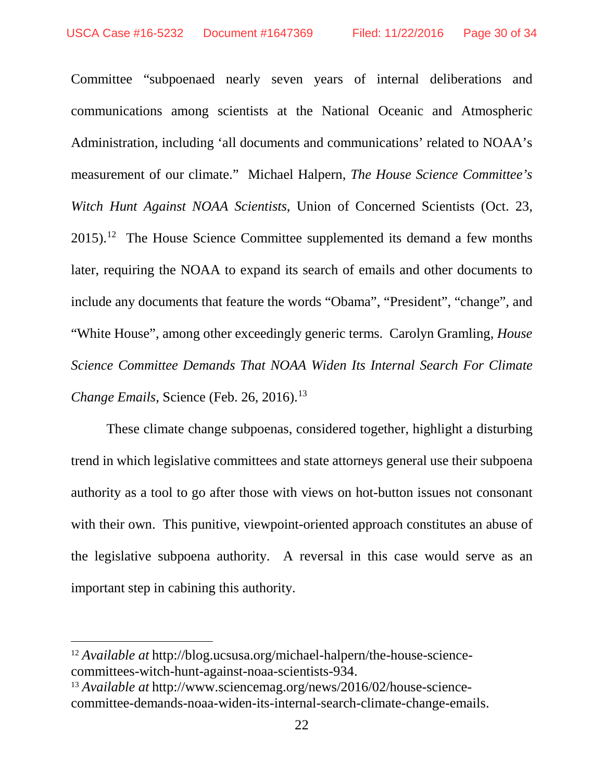Committee "subpoenaed nearly seven years of internal deliberations and communications among scientists at the National Oceanic and Atmospheric Administration, including 'all documents and communications' related to NOAA's measurement of our climate." Michael Halpern, *The House Science Committee's Witch Hunt Against NOAA Scientists*, Union of Concerned Scientists (Oct. 23,  $2015$ .<sup>12</sup> The House Science Committee supplemented its demand a few months later, requiring the NOAA to expand its search of emails and other documents to include any documents that feature the words "Obama", "President", "change", and "White House", among other exceedingly generic terms. Carolyn Gramling, *House Science Committee Demands That NOAA Widen Its Internal Search For Climate Change Emails*, Science (Feb. 26, 2016). [13](#page-29-1)

These climate change subpoenas, considered together, highlight a disturbing trend in which legislative committees and state attorneys general use their subpoena authority as a tool to go after those with views on hot-button issues not consonant with their own. This punitive, viewpoint-oriented approach constitutes an abuse of the legislative subpoena authority. A reversal in this case would serve as an important step in cabining this authority.

<span id="page-29-0"></span> <sup>12</sup> *Available at* http://blog.ucsusa.org/michael-halpern/the-house-sciencecommittees-witch-hunt-against-noaa-scientists-934.

<span id="page-29-1"></span><sup>13</sup> *Available at* http://www.sciencemag.org/news/2016/02/house-sciencecommittee-demands-noaa-widen-its-internal-search-climate-change-emails.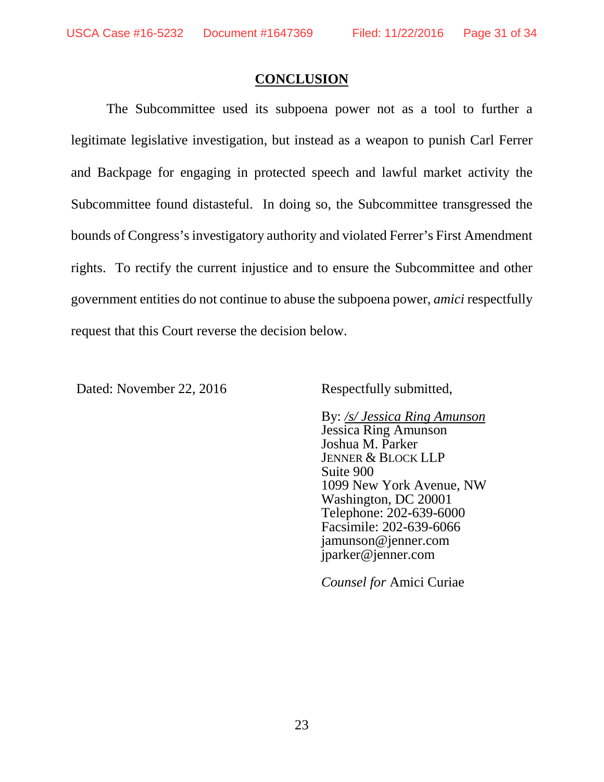## **CONCLUSION**

The Subcommittee used its subpoena power not as a tool to further a legitimate legislative investigation, but instead as a weapon to punish Carl Ferrer and Backpage for engaging in protected speech and lawful market activity the Subcommittee found distasteful. In doing so, the Subcommittee transgressed the bounds of Congress's investigatory authority and violated Ferrer's First Amendment rights. To rectify the current injustice and to ensure the Subcommittee and other government entities do not continue to abuse the subpoena power, *amici* respectfully request that this Court reverse the decision below.

Dated: November 22, 2016 Respectfully submitted,

By: */s/ Jessica Ring Amunson* Jessica Ring Amunson Joshua M. Parker JENNER & BLOCK LLP Suite 900 1099 New York Avenue, NW Washington, DC 20001 Telephone: 202-639-6000 Facsimile: 202-639-6066 jamunson@jenner.com jparker@jenner.com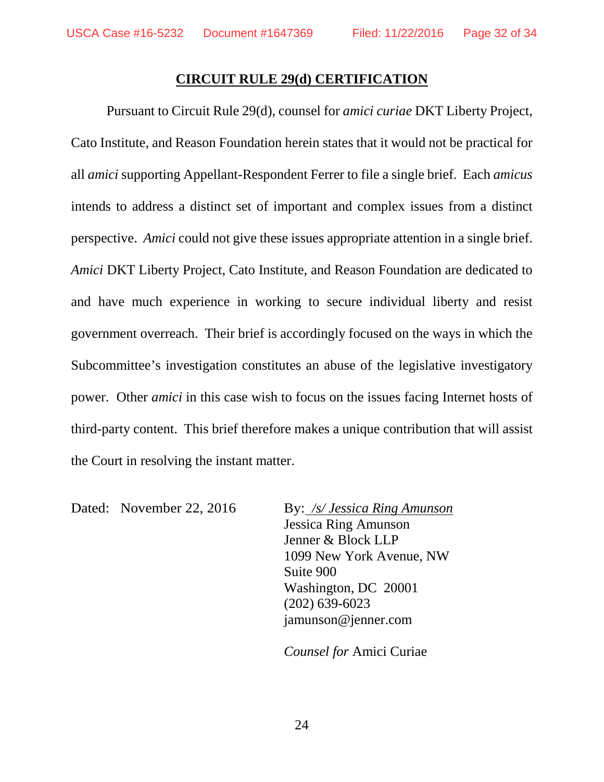#### **CIRCUIT RULE 29(d) CERTIFICATION**

Pursuant to Circuit Rule 29(d), counsel for *amici curiae* DKT Liberty Project, Cato Institute, and Reason Foundation herein states that it would not be practical for all *amici* supporting Appellant-Respondent Ferrer to file a single brief. Each *amicus* intends to address a distinct set of important and complex issues from a distinct perspective. *Amici* could not give these issues appropriate attention in a single brief. *Amici* DKT Liberty Project, Cato Institute, and Reason Foundation are dedicated to and have much experience in working to secure individual liberty and resist government overreach. Their brief is accordingly focused on the ways in which the Subcommittee's investigation constitutes an abuse of the legislative investigatory power. Other *amici* in this case wish to focus on the issues facing Internet hosts of third-party content. This brief therefore makes a unique contribution that will assist the Court in resolving the instant matter.

Dated: November 22, 2016 By: */s/ Jessica Ring Amunson* Jessica Ring Amunson Jenner & Block LLP 1099 New York Avenue, NW Suite 900 Washington, DC 20001 (202) 639-6023 jamunson@jenner.com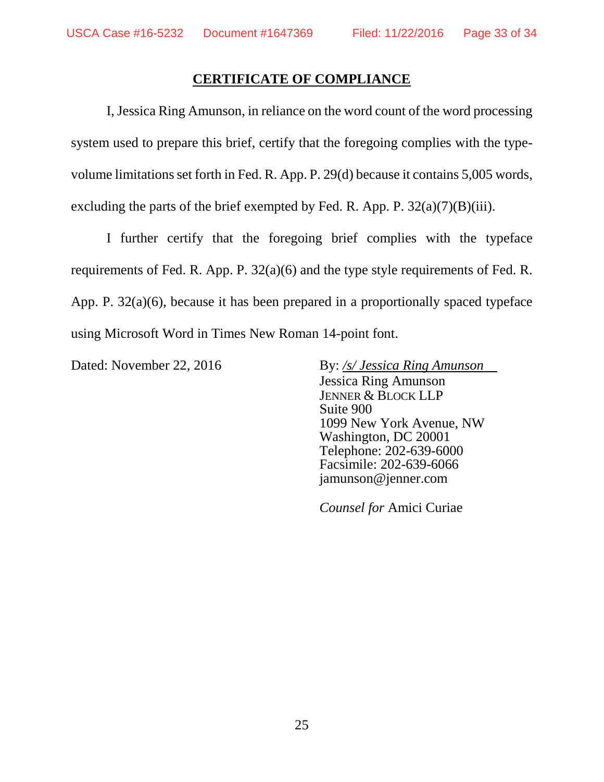### **CERTIFICATE OF COMPLIANCE**

I, Jessica Ring Amunson, in reliance on the word count of the word processing system used to prepare this brief, certify that the foregoing complies with the typevolume limitations set forth in Fed. R. App. P. 29(d) because it contains 5,005 words, excluding the parts of the brief exempted by Fed. R. App. P.  $32(a)(7)(B)(iii)$ .

I further certify that the foregoing brief complies with the typeface requirements of Fed. R. App. P. 32(a)(6) and the type style requirements of Fed. R. App. P. 32(a)(6), because it has been prepared in a proportionally spaced typeface using Microsoft Word in Times New Roman 14-point font.

Dated: November 22, 2016 By: /s/ *Jessica Ring Amunson* Jessica Ring Amunson JENNER & BLOCK LLP Suite 900 1099 New York Avenue, NW Washington, DC 20001 Telephone: 202-639-6000 Facsimile: 202-639-6066 jamunson@jenner.com